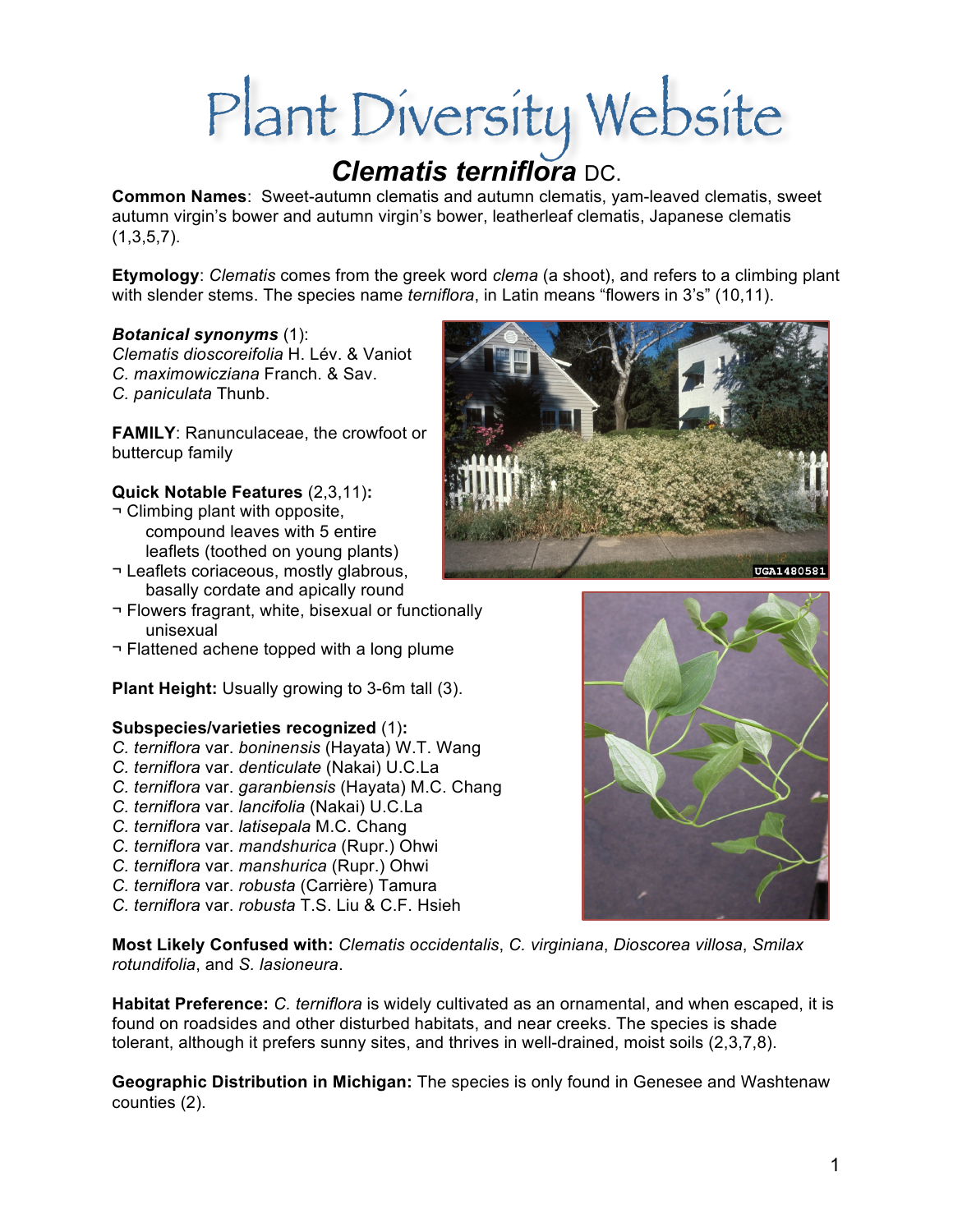# Plant Diversity Website

**Common Names**: Sweet-autumn clematis and autumn clematis, yam-leaved clematis, sweet autumn virgin's bower and autumn virgin's bower, leatherleaf clematis, Japanese clematis  $(1,3,5,7)$ .

**Etymology**: *Clematis* comes from the greek word *clema* (a shoot), and refers to a climbing plant with slender stems. The species name *terniflora*, in Latin means "flowers in 3's" (10,11).

### *Botanical synonyms* (1):

*Clematis dioscoreifolia* H. Lév. & Vaniot *C. maximowicziana* Franch. & Sav. *C. paniculata* Thunb.

**FAMILY**: Ranunculaceae, the crowfoot or buttercup family

## **Quick Notable Features** (2,3,11)**:**

- ¬ Climbing plant with opposite, compound leaves with 5 entire leaflets (toothed on young plants)
- ¬ Leaflets coriaceous, mostly glabrous, basally cordate and apically round
- ¬ Flowers fragrant, white, bisexual or functionally unisexual
- ¬ Flattened achene topped with a long plume

**Plant Height:** Usually growing to 3-6m tall (3).

## **Subspecies/varieties recognized** (1)**:**

- *C. terniflora* var. *boninensis* (Hayata) W.T. Wang
- *C. terniflora* var. *denticulate* (Nakai) U.C.La
- *C. terniflora* var. *garanbiensis* (Hayata) M.C. Chang
- *C. terniflora* var. *lancifolia* (Nakai) U.C.La
- *C. terniflora* var. *latisepala* M.C. Chang
- *C. terniflora* var. *mandshurica* (Rupr.) Ohwi
- *C. terniflora* var. *manshurica* (Rupr.) Ohwi
- *C. terniflora* var. *robusta* (Carrière) Tamura
- *C. terniflora* var. *robusta* T.S. Liu & C.F. Hsieh

**Most Likely Confused with:** *Clematis occidentalis*, *C. virginiana*, *Dioscorea villosa*, *Smilax rotundifolia*, and *S. lasioneura*.

**Habitat Preference:** *C. terniflora* is widely cultivated as an ornamental, and when escaped, it is found on roadsides and other disturbed habitats, and near creeks. The species is shade tolerant, although it prefers sunny sites, and thrives in well-drained, moist soils (2,3,7,8).

**Geographic Distribution in Michigan:** The species is only found in Genesee and Washtenaw counties (2).



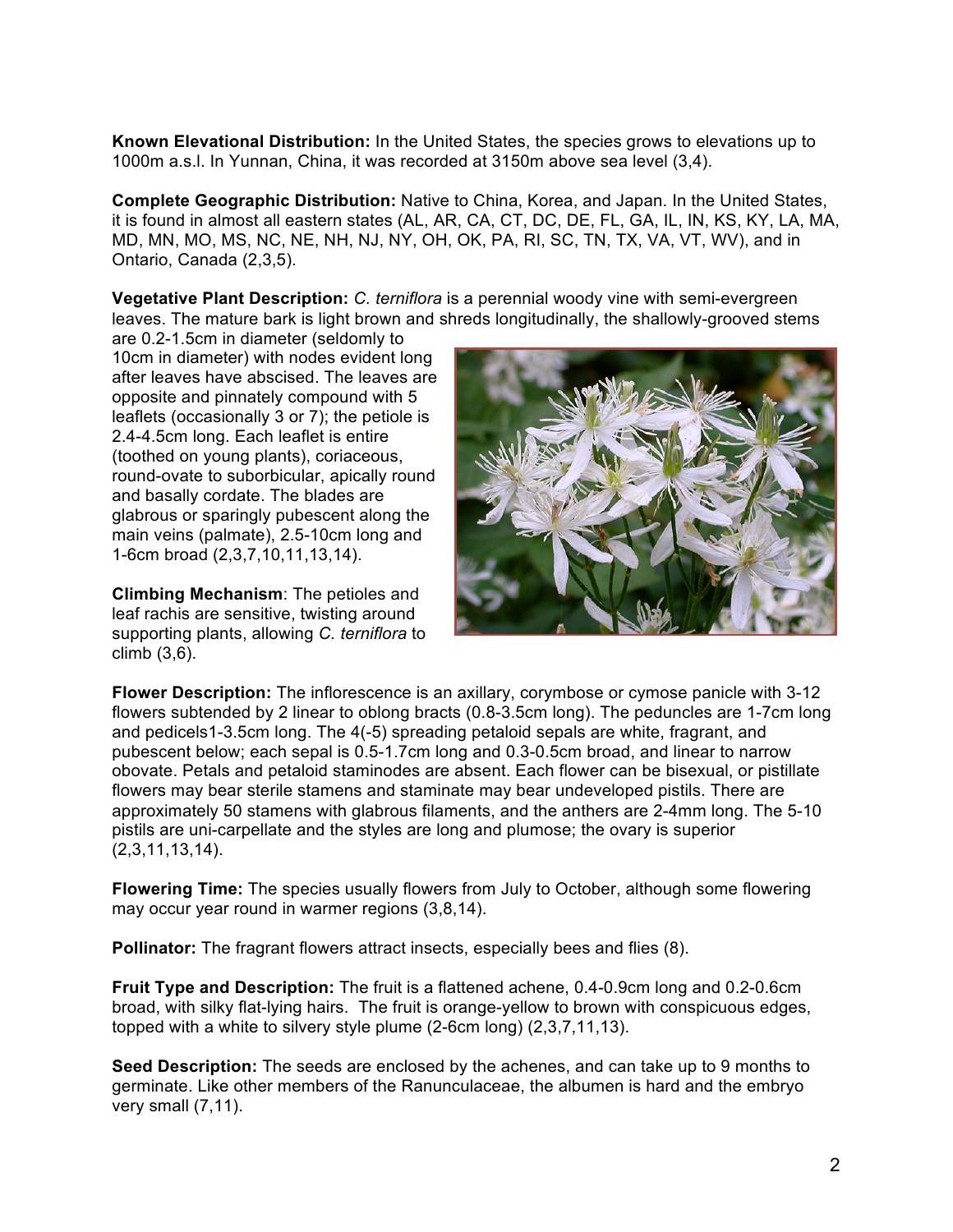**Known Elevational Distribution:** In the United States, the species grows to elevations up to 1000m a.s.l. In Yunnan, China, it was recorded at 3150m above sea level (3,4).

**Complete Geographic Distribution:** Native to China, Korea, and Japan. In the United States, it is found in almost all eastern states (AL, AR, CA, CT, DC, DE, FL, GA, IL, IN, KS, KY, LA, MA, MD, MN, MO, MS, NC, NE, NH, NJ, NY, OH, OK, PA, RI, SC, TN, TX, VA, VT, WV), and in Ontario, Canada (2,3,5).

**Vegetative Plant Description:** *C. terniflora* is a perennial woody vine with semi-evergreen leaves. The mature bark is light brown and shreds longitudinally, the shallowly-grooved stems

are 0.2-1.5cm in diameter (seldomly to 10cm in diameter) with nodes evident long after leaves have abscised. The leaves are opposite and pinnately compound with 5 leaflets (occasionally 3 or 7); the petiole is 2.4-4.5cm long. Each leaflet is entire (toothed on young plants), coriaceous, round-ovate to suborbicular, apically round and basally cordate. The blades are glabrous or sparingly pubescent along the main veins (palmate), 2.5-10cm long and 1-6cm broad (2,3,7,10,11,13,14).

**Climbing Mechanism**: The petioles and leaf rachis are sensitive, twisting around supporting plants, allowing *C. terniflora* to climb (3,6).



**Flower Description:** The inflorescence is an axillary, corymbose or cymose panicle with 3-12 flowers subtended by 2 linear to oblong bracts (0.8-3.5cm long). The peduncles are 1-7cm long and pedicels1-3.5cm long. The 4(-5) spreading petaloid sepals are white, fragrant, and pubescent below; each sepal is 0.5-1.7cm long and 0.3-0.5cm broad, and linear to narrow obovate. Petals and petaloid staminodes are absent. Each flower can be bisexual, or pistillate flowers may bear sterile stamens and staminate may bear undeveloped pistils. There are approximately 50 stamens with glabrous filaments, and the anthers are 2-4mm long. The 5-10 pistils are uni-carpellate and the styles are long and plumose; the ovary is superior (2,3,11,13,14).

**Flowering Time:** The species usually flowers from July to October, although some flowering may occur year round in warmer regions (3,8,14).

**Pollinator:** The fragrant flowers attract insects, especially bees and flies (8).

**Fruit Type and Description:** The fruit is a flattened achene, 0.4-0.9cm long and 0.2-0.6cm broad, with silky flat-lying hairs. The fruit is orange-yellow to brown with conspicuous edges, topped with a white to silvery style plume (2-6cm long) (2,3,7,11,13).

**Seed Description:** The seeds are enclosed by the achenes, and can take up to 9 months to germinate. Like other members of the Ranunculaceae, the albumen is hard and the embryo very small (7,11).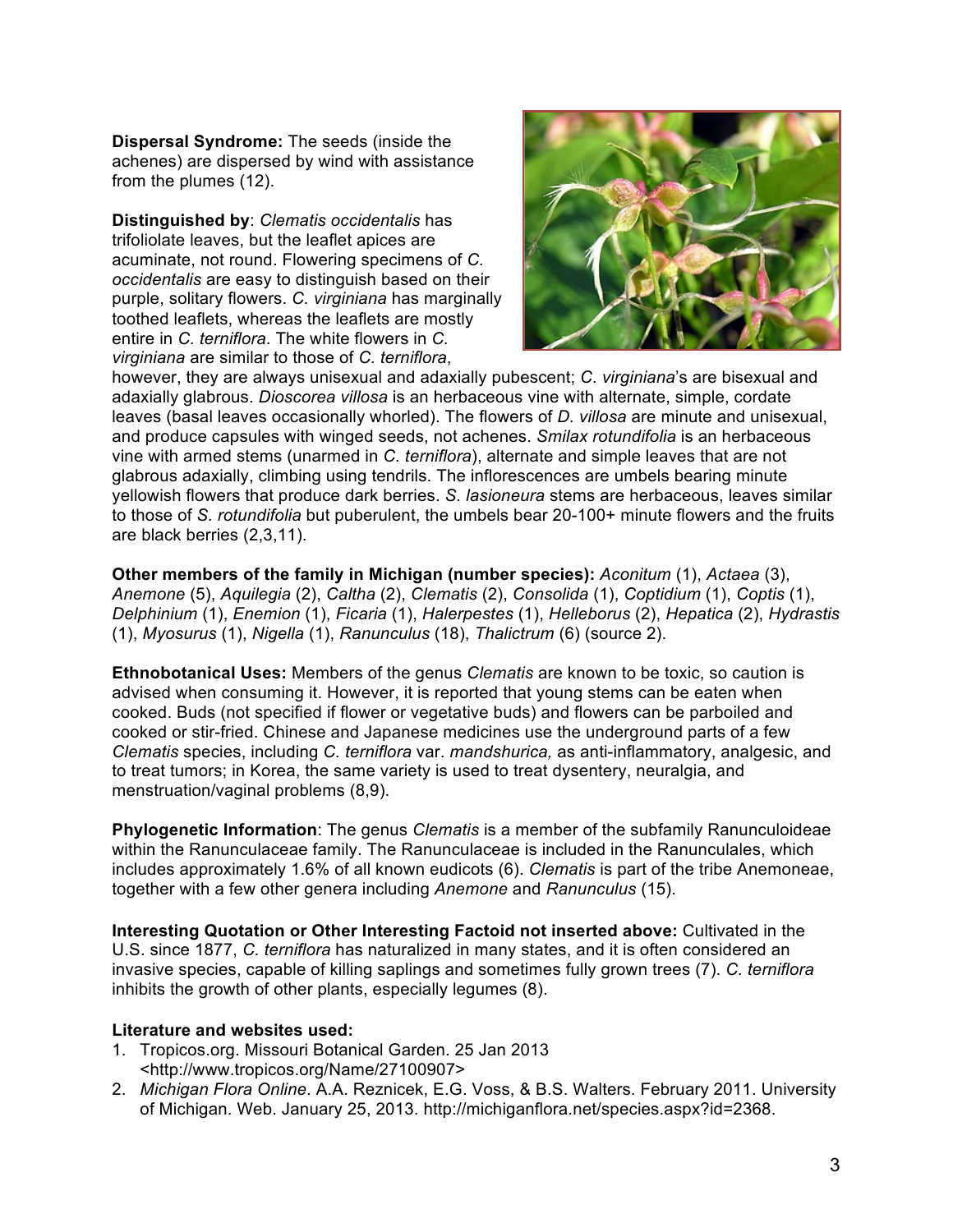**Dispersal Syndrome:** The seeds (inside the achenes) are dispersed by wind with assistance from the plumes (12).

**Distinguished by**: *Clematis occidentalis* has trifoliolate leaves, but the leaflet apices are acuminate, not round. Flowering specimens of *C. occidentalis* are easy to distinguish based on their purple, solitary flowers. *C. virginiana* has marginally toothed leaflets, whereas the leaflets are mostly entire in *C. terniflora*. The white flowers in *C. virginiana* are similar to those of *C. terniflora*,



however, they are always unisexual and adaxially pubescent; *C. virginiana*'s are bisexual and adaxially glabrous. *Dioscorea villosa* is an herbaceous vine with alternate, simple, cordate leaves (basal leaves occasionally whorled). The flowers of *D. villosa* are minute and unisexual, and produce capsules with winged seeds, not achenes. *Smilax rotundifolia* is an herbaceous vine with armed stems (unarmed in *C. terniflora*), alternate and simple leaves that are not glabrous adaxially, climbing using tendrils. The inflorescences are umbels bearing minute yellowish flowers that produce dark berries. *S. lasioneura* stems are herbaceous, leaves similar to those of *S. rotundifolia* but puberulent, the umbels bear 20-100+ minute flowers and the fruits are black berries (2,3,11).

**Other members of the family in Michigan (number species):** *Aconitum* (1), *Actaea* (3), *Anemone* (5), *Aquilegia* (2), *Caltha* (2), *Clematis* (2), *Consolida* (1), *Coptidium* (1), *Coptis* (1), *Delphinium* (1), *Enemion* (1), *Ficaria* (1), *Halerpestes* (1), *Helleborus* (2), *Hepatica* (2), *Hydrastis* (1), *Myosurus* (1), *Nigella* (1), *Ranunculus* (18), *Thalictrum* (6) (source 2).

**Ethnobotanical Uses:** Members of the genus *Clematis* are known to be toxic, so caution is advised when consuming it. However, it is reported that young stems can be eaten when cooked. Buds (not specified if flower or vegetative buds) and flowers can be parboiled and cooked or stir-fried. Chinese and Japanese medicines use the underground parts of a few *Clematis* species, including *C. terniflora* var. *mandshurica,* as anti-inflammatory, analgesic, and to treat tumors; in Korea, the same variety is used to treat dysentery, neuralgia, and menstruation/vaginal problems (8,9).

**Phylogenetic Information**: The genus *Clematis* is a member of the subfamily Ranunculoideae within the Ranunculaceae family. The Ranunculaceae is included in the Ranunculales, which includes approximately 1.6% of all known eudicots (6). *Clematis* is part of the tribe Anemoneae, together with a few other genera including *Anemone* and *Ranunculus* (15).

**Interesting Quotation or Other Interesting Factoid not inserted above:** Cultivated in the U.S. since 1877, *C. terniflora* has naturalized in many states, and it is often considered an invasive species, capable of killing saplings and sometimes fully grown trees (7). *C. terniflora* inhibits the growth of other plants, especially legumes (8).

### **Literature and websites used:**

- 1. Tropicos.org. Missouri Botanical Garden. 25 Jan 2013 <http://www.tropicos.org/Name/27100907>
- 2. *Michigan Flora Online*. A.A. Reznicek, E.G. Voss, & B.S. Walters. February 2011. University of Michigan. Web. January 25, 2013. http://michiganflora.net/species.aspx?id=2368.